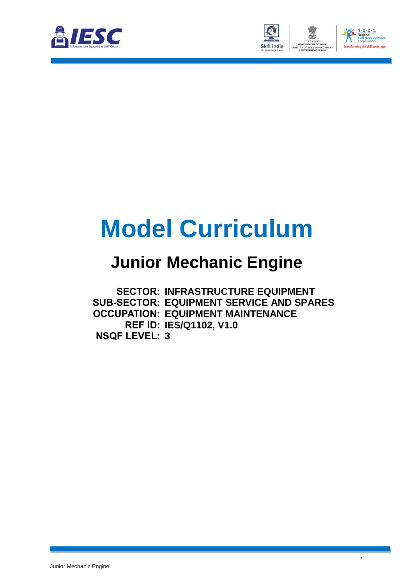



 $\lambda$ 

# **Model Curriculum**

### **Junior Mechanic Engine**

**SECTOR: INFRASTRUCTURE EQUIPMENT SUB-SECTOR: EQUIPMENT SERVICE AND SPARES OCCUPATION: EQUIPMENT MAINTENANCE REF ID: IES/Q1102, V1.0 NSQF LEVEL: 3**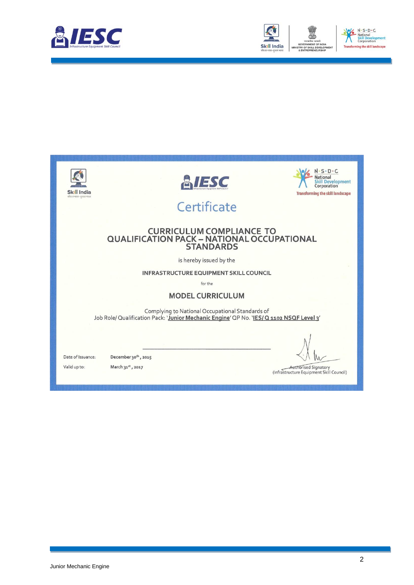



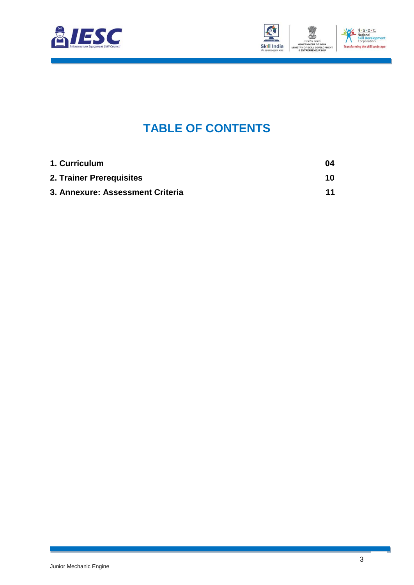



### **TABLE OF CONTENTS**

| 1. Curriculum                    | -04 |
|----------------------------------|-----|
| 2. Trainer Prerequisites         | 10  |
| 3. Annexure: Assessment Criteria | 11  |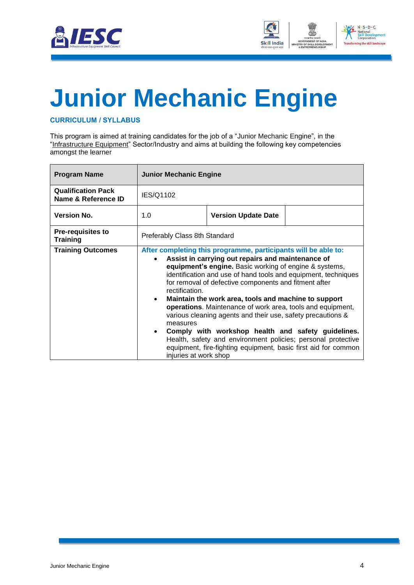



# **Junior Mechanic Engine**

#### **CURRICULUM / SYLLABUS**

This program is aimed at training candidates for the job of a "Junior Mechanic Engine", in the "Infrastructure Equipment" Sector/Industry and aims at building the following key competencies amongst the learner

| <b>Program Name</b>                              | <b>Junior Mechanic Engine</b>                                                 |                                                                                                                                                                                                                                                                                                                                                                                                                                                                                                                                                                                                                                                                                       |  |
|--------------------------------------------------|-------------------------------------------------------------------------------|---------------------------------------------------------------------------------------------------------------------------------------------------------------------------------------------------------------------------------------------------------------------------------------------------------------------------------------------------------------------------------------------------------------------------------------------------------------------------------------------------------------------------------------------------------------------------------------------------------------------------------------------------------------------------------------|--|
| <b>Qualification Pack</b><br>Name & Reference ID | IES/Q1102                                                                     |                                                                                                                                                                                                                                                                                                                                                                                                                                                                                                                                                                                                                                                                                       |  |
| <b>Version No.</b>                               | 1.0                                                                           | <b>Version Update Date</b>                                                                                                                                                                                                                                                                                                                                                                                                                                                                                                                                                                                                                                                            |  |
| <b>Pre-requisites to</b><br><b>Training</b>      | Preferably Class 8th Standard                                                 |                                                                                                                                                                                                                                                                                                                                                                                                                                                                                                                                                                                                                                                                                       |  |
| <b>Training Outcomes</b>                         | rectification.<br>$\bullet$<br>measures<br>$\bullet$<br>injuries at work shop | After completing this programme, participants will be able to:<br>Assist in carrying out repairs and maintenance of<br>equipment's engine. Basic working of engine & systems,<br>identification and use of hand tools and equipment, techniques<br>for removal of defective components and fitment after<br>Maintain the work area, tools and machine to support<br>operations. Maintenance of work area, tools and equipment,<br>various cleaning agents and their use, safety precautions &<br>Comply with workshop health and safety guidelines.<br>Health, safety and environment policies; personal protective<br>equipment, fire-fighting equipment, basic first aid for common |  |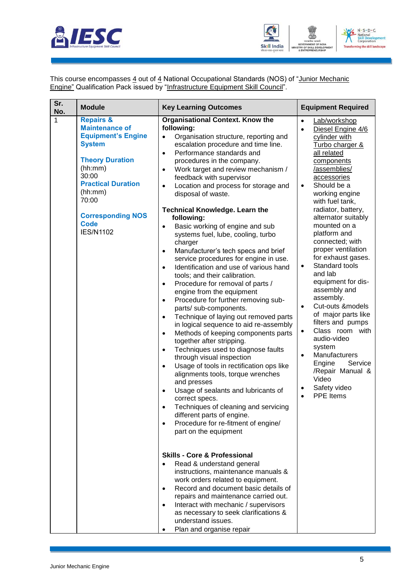



This course encompasses 4 out of 4 National Occupational Standards (NOS) of "Junior Mechanic Engine" Qualification Pack issued by "Infrastructure Equipment Skill Council".

| Sr.<br>No. | <b>Module</b>                                                                                                                                                                                                                                             | <b>Key Learning Outcomes</b>                                                                                                                                                                                                                                                                                                                                                                                                                                                                                                                                                                                                                                                                                                                                                                                                                                                                                                                                                                                                                                                                                                                                                                                                                                                                                                                                                                                                                                                            | <b>Equipment Required</b>                                                                                                                                                                                                                                                                                                                                                                                                                                                                                                                                                                                                                                                                                                                           |
|------------|-----------------------------------------------------------------------------------------------------------------------------------------------------------------------------------------------------------------------------------------------------------|-----------------------------------------------------------------------------------------------------------------------------------------------------------------------------------------------------------------------------------------------------------------------------------------------------------------------------------------------------------------------------------------------------------------------------------------------------------------------------------------------------------------------------------------------------------------------------------------------------------------------------------------------------------------------------------------------------------------------------------------------------------------------------------------------------------------------------------------------------------------------------------------------------------------------------------------------------------------------------------------------------------------------------------------------------------------------------------------------------------------------------------------------------------------------------------------------------------------------------------------------------------------------------------------------------------------------------------------------------------------------------------------------------------------------------------------------------------------------------------------|-----------------------------------------------------------------------------------------------------------------------------------------------------------------------------------------------------------------------------------------------------------------------------------------------------------------------------------------------------------------------------------------------------------------------------------------------------------------------------------------------------------------------------------------------------------------------------------------------------------------------------------------------------------------------------------------------------------------------------------------------------|
| 1          | <b>Repairs &amp;</b><br><b>Maintenance of</b><br><b>Equipment's Engine</b><br><b>System</b><br><b>Theory Duration</b><br>(hh:mm)<br>30:00<br><b>Practical Duration</b><br>(hh:mm)<br>70:00<br><b>Corresponding NOS</b><br><b>Code</b><br><b>IES/N1102</b> | <b>Organisational Context. Know the</b><br>following:<br>Organisation structure, reporting and<br>$\bullet$<br>escalation procedure and time line.<br>Performance standards and<br>$\bullet$<br>procedures in the company.<br>Work target and review mechanism /<br>$\bullet$<br>feedback with supervisor<br>Location and process for storage and<br>$\bullet$<br>disposal of waste.<br><b>Technical Knowledge. Learn the</b><br>following:<br>Basic working of engine and sub<br>$\bullet$<br>systems fuel, lube, cooling, turbo<br>charger<br>Manufacturer's tech specs and brief<br>$\bullet$<br>service procedures for engine in use.<br>Identification and use of various hand<br>$\bullet$<br>tools; and their calibration.<br>Procedure for removal of parts /<br>$\bullet$<br>engine from the equipment<br>Procedure for further removing sub-<br>$\bullet$<br>parts/ sub-components.<br>Technique of laying out removed parts<br>$\bullet$<br>in logical sequence to aid re-assembly<br>Methods of keeping components parts<br>$\bullet$<br>together after stripping.<br>Techniques used to diagnose faults<br>$\bullet$<br>through visual inspection<br>Usage of tools in rectification ops like<br>$\bullet$<br>alignments tools, torque wrenches<br>and presses<br>Usage of sealants and lubricants of<br>$\bullet$<br>correct specs.<br>Techniques of cleaning and servicing<br>different parts of engine.<br>Procedure for re-fitment of engine/<br>part on the equipment | Lab/workshop<br>$\bullet$<br>Diesel Engine 4/6<br>$\bullet$<br>cylinder with<br>Turbo charger &<br>all related<br>components<br>/assemblies/<br>accessories<br>Should be a<br>$\bullet$<br>working engine<br>with fuel tank,<br>radiator, battery,<br>alternator suitably<br>mounted on a<br>platform and<br>connected; with<br>proper ventilation<br>for exhaust gases.<br>Standard tools<br>$\bullet$<br>and lab<br>equipment for dis-<br>assembly and<br>assembly.<br>Cut-outs ⊧<br>$\bullet$<br>of major parts like<br>filters and pumps<br>Class room with<br>$\bullet$<br>audio-video<br>system<br>Manufacturers<br>$\bullet$<br>Engine<br>Service<br>/Repair Manual &<br>Video<br>Safety video<br>$\bullet$<br><b>PPE</b> Items<br>$\bullet$ |
|            |                                                                                                                                                                                                                                                           | <b>Skills - Core &amp; Professional</b><br>Read & understand general<br>instructions, maintenance manuals &<br>work orders related to equipment.<br>Record and document basic details of<br>$\bullet$<br>repairs and maintenance carried out.<br>Interact with mechanic / supervisors<br>$\bullet$<br>as necessary to seek clarifications &<br>understand issues.<br>Plan and organise repair                                                                                                                                                                                                                                                                                                                                                                                                                                                                                                                                                                                                                                                                                                                                                                                                                                                                                                                                                                                                                                                                                           |                                                                                                                                                                                                                                                                                                                                                                                                                                                                                                                                                                                                                                                                                                                                                     |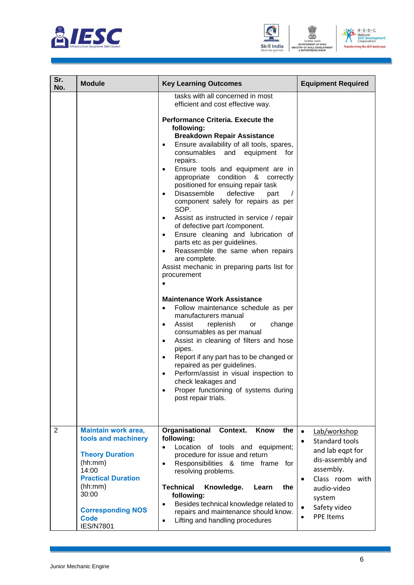





| Sr.<br>No.     | <b>Module</b>                                                                                                                                                                                                   | <b>Key Learning Outcomes</b>                                                                                                                                                                                                                                                                                                                                                                                                                                                                                                                                                                                                                                                                                                                                                                                 | <b>Equipment Required</b>                                                                                                                                                                     |
|----------------|-----------------------------------------------------------------------------------------------------------------------------------------------------------------------------------------------------------------|--------------------------------------------------------------------------------------------------------------------------------------------------------------------------------------------------------------------------------------------------------------------------------------------------------------------------------------------------------------------------------------------------------------------------------------------------------------------------------------------------------------------------------------------------------------------------------------------------------------------------------------------------------------------------------------------------------------------------------------------------------------------------------------------------------------|-----------------------------------------------------------------------------------------------------------------------------------------------------------------------------------------------|
|                |                                                                                                                                                                                                                 | tasks with all concerned in most<br>efficient and cost effective way.<br><b>Performance Criteria. Execute the</b><br>following:<br><b>Breakdown Repair Assistance</b><br>Ensure availability of all tools, spares,<br>$\bullet$<br>consumables and equipment<br>for<br>repairs.<br>Ensure tools and equipment are in<br>$\bullet$<br>appropriate condition & correctly<br>positioned for ensuing repair task<br>Disassemble<br>defective<br>part<br>$\bullet$<br>component safely for repairs as per<br>SOP.<br>Assist as instructed in service / repair<br>$\bullet$<br>of defective part /component.<br>Ensure cleaning and lubrication of<br>$\bullet$<br>parts etc as per guidelines.<br>Reassemble the same when repairs<br>are complete.<br>Assist mechanic in preparing parts list for<br>procurement |                                                                                                                                                                                               |
|                |                                                                                                                                                                                                                 | <b>Maintenance Work Assistance</b><br>Follow maintenance schedule as per<br>$\bullet$<br>manufacturers manual<br>Assist<br>replenish<br>change<br>or<br>$\bullet$<br>consumables as per manual<br>Assist in cleaning of filters and hose<br>$\bullet$<br>pipes.<br>Report if any part has to be changed or<br>$\bullet$<br>repaired as per guidelines.<br>Perform/assist in visual inspection to<br>$\bullet$<br>check leakages and<br>Proper functioning of systems during<br>$\bullet$<br>post repair trials.                                                                                                                                                                                                                                                                                              |                                                                                                                                                                                               |
| $\overline{2}$ | <b>Maintain work area,</b><br>tools and machinery<br><b>Theory Duration</b><br>(hh:mm)<br>14:00<br><b>Practical Duration</b><br>(hh:mm)<br>30:00<br><b>Corresponding NOS</b><br><b>Code</b><br><b>IES/N7801</b> | Organisational<br>Context.<br>Know<br>the<br>following:<br>Location of tools and equipment;<br>procedure for issue and return<br>Responsibilities & time frame for<br>$\bullet$<br>resolving problems.<br><b>Technical</b><br>Knowledge.<br>the<br>Learn<br>following:<br>Besides technical knowledge related to<br>$\bullet$<br>repairs and maintenance should know.<br>Lifting and handling procedures<br>$\bullet$                                                                                                                                                                                                                                                                                                                                                                                        | Lab/workshop<br>Standard tools<br>$\bullet$<br>and lab eqpt for<br>dis-assembly and<br>assembly.<br>Class room with<br>$\bullet$<br>audio-video<br>system<br>Safety video<br><b>PPE Items</b> |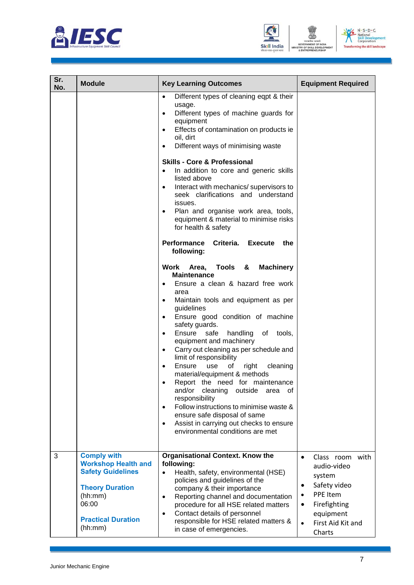





| Sr.<br>No. | <b>Module</b>                                                                                                                                                      | <b>Key Learning Outcomes</b>                                                                                                                                                                                                                                                                                                                                                                                                                                                                                                                                                                                                                                                                                                                                                                                                                                                                                                                                                                                                                                                                                                                                                                                                                                                                                                                                                                                                                | <b>Equipment Required</b>                                                                                                                                                                         |
|------------|--------------------------------------------------------------------------------------------------------------------------------------------------------------------|---------------------------------------------------------------------------------------------------------------------------------------------------------------------------------------------------------------------------------------------------------------------------------------------------------------------------------------------------------------------------------------------------------------------------------------------------------------------------------------------------------------------------------------------------------------------------------------------------------------------------------------------------------------------------------------------------------------------------------------------------------------------------------------------------------------------------------------------------------------------------------------------------------------------------------------------------------------------------------------------------------------------------------------------------------------------------------------------------------------------------------------------------------------------------------------------------------------------------------------------------------------------------------------------------------------------------------------------------------------------------------------------------------------------------------------------|---------------------------------------------------------------------------------------------------------------------------------------------------------------------------------------------------|
|            |                                                                                                                                                                    | Different types of cleaning eqpt & their<br>$\bullet$<br>usage.<br>Different types of machine guards for<br>$\bullet$<br>equipment<br>Effects of contamination on products ie<br>$\bullet$<br>oil, dirt<br>Different ways of minimising waste<br>$\bullet$<br><b>Skills - Core &amp; Professional</b><br>In addition to core and generic skills<br>$\bullet$<br>listed above<br>Interact with mechanics/ supervisors to<br>$\bullet$<br>seek clarifications and understand<br>issues.<br>Plan and organise work area, tools,<br>equipment & material to minimise risks<br>for health & safety<br>Performance Criteria. Execute<br>the<br>following:<br>Tools &<br><b>Machinery</b><br>Work Area,<br><b>Maintenance</b><br>Ensure a clean & hazard free work<br>$\bullet$<br>area<br>Maintain tools and equipment as per<br>$\bullet$<br>guidelines<br>Ensure good condition of machine<br>$\bullet$<br>safety guards.<br>Ensure<br>safe<br>handling<br>of tools,<br>$\bullet$<br>equipment and machinery<br>Carry out cleaning as per schedule and<br>$\bullet$<br>limit of responsibility<br>Ensure<br>of<br>use<br>right<br>cleaning<br>$\bullet$<br>material/equipment & methods<br>Report the need for maintenance<br>$\bullet$<br>and/or cleaning<br>outside area of<br>responsibility<br>Follow instructions to minimise waste &<br>$\bullet$<br>ensure safe disposal of same<br>Assist in carrying out checks to ensure<br>$\bullet$ |                                                                                                                                                                                                   |
|            |                                                                                                                                                                    | environmental conditions are met                                                                                                                                                                                                                                                                                                                                                                                                                                                                                                                                                                                                                                                                                                                                                                                                                                                                                                                                                                                                                                                                                                                                                                                                                                                                                                                                                                                                            |                                                                                                                                                                                                   |
| 3          | <b>Comply with</b><br><b>Workshop Health and</b><br><b>Safety Guidelines</b><br><b>Theory Duration</b><br>(hh:mm)<br>06:00<br><b>Practical Duration</b><br>(hh:mm) | <b>Organisational Context. Know the</b><br>following:<br>Health, safety, environmental (HSE)<br>$\bullet$<br>policies and guidelines of the<br>company & their importance<br>Reporting channel and documentation<br>$\bullet$<br>procedure for all HSE related matters<br>Contact details of personnel<br>$\bullet$<br>responsible for HSE related matters &<br>in case of emergencies.                                                                                                                                                                                                                                                                                                                                                                                                                                                                                                                                                                                                                                                                                                                                                                                                                                                                                                                                                                                                                                                     | Class room with<br>$\bullet$<br>audio-video<br>system<br>Safety video<br>$\bullet$<br>PPE Item<br>$\bullet$<br>Firefighting<br>$\bullet$<br>equipment<br>First Aid Kit and<br>$\bullet$<br>Charts |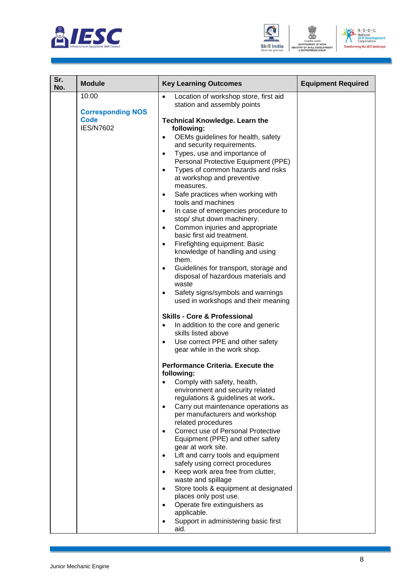





| Sr.<br>No. | <b>Module</b>                                                        | <b>Key Learning Outcomes</b>                                                                                                                                                                                                                                                                                                                                                                                                                                                                                                                                                                                                                                                                                                                                                                                         | <b>Equipment Required</b> |
|------------|----------------------------------------------------------------------|----------------------------------------------------------------------------------------------------------------------------------------------------------------------------------------------------------------------------------------------------------------------------------------------------------------------------------------------------------------------------------------------------------------------------------------------------------------------------------------------------------------------------------------------------------------------------------------------------------------------------------------------------------------------------------------------------------------------------------------------------------------------------------------------------------------------|---------------------------|
|            | 10:00<br><b>Corresponding NOS</b><br><b>Code</b><br><b>IES/N7602</b> | Location of workshop store, first aid<br>$\bullet$<br>station and assembly points<br><b>Technical Knowledge. Learn the</b><br>following:<br>OEMs guidelines for health, safety<br>$\bullet$<br>and security requirements.<br>Types, use and importance of<br>$\bullet$<br>Personal Protective Equipment (PPE)<br>Types of common hazards and risks<br>$\bullet$<br>at workshop and preventive<br>measures.<br>Safe practices when working with<br>$\bullet$                                                                                                                                                                                                                                                                                                                                                          |                           |
|            |                                                                      | tools and machines<br>In case of emergencies procedure to<br>$\bullet$<br>stop/ shut down machinery.<br>Common injuries and appropriate<br>$\bullet$<br>basic first aid treatment.<br>Firefighting equipment: Basic<br>$\bullet$<br>knowledge of handling and using<br>them.<br>Guidelines for transport, storage and<br>$\bullet$<br>disposal of hazardous materials and<br>waste<br>Safety signs/symbols and warnings<br>$\bullet$<br>used in workshops and their meaning<br><b>Skills - Core &amp; Professional</b>                                                                                                                                                                                                                                                                                               |                           |
|            |                                                                      | In addition to the core and generic<br>$\bullet$<br>skills listed above<br>Use correct PPE and other safety<br>$\bullet$<br>gear while in the work shop.<br><b>Performance Criteria. Execute the</b><br>following:<br>Comply with safety, health,<br>environment and security related<br>regulations & guidelines at work.<br>Carry out maintenance operations as<br>$\bullet$<br>per manufacturers and workshop<br>related procedures<br>Correct use of Personal Protective<br>Equipment (PPE) and other safety<br>gear at work site.<br>Lift and carry tools and equipment<br>safely using correct procedures<br>Keep work area free from clutter,<br>$\bullet$<br>waste and spillage<br>Store tools & equipment at designated<br>$\bullet$<br>places only post use.<br>Operate fire extinguishers as<br>$\bullet$ |                           |
|            |                                                                      | applicable.<br>Support in administering basic first<br>aid.                                                                                                                                                                                                                                                                                                                                                                                                                                                                                                                                                                                                                                                                                                                                                          |                           |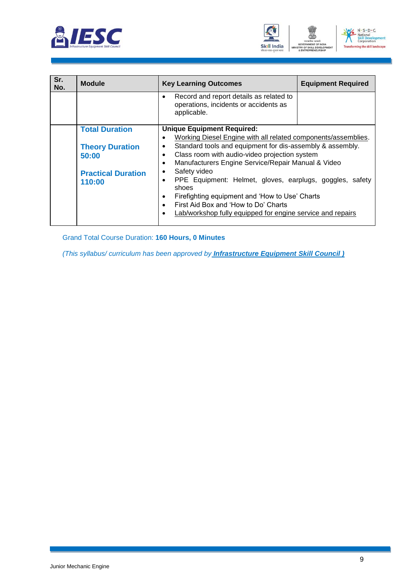





| Sr.<br>No. | <b>Module</b>             | <b>Key Learning Outcomes</b>                                                                                 | <b>Equipment Required</b> |  |  |
|------------|---------------------------|--------------------------------------------------------------------------------------------------------------|---------------------------|--|--|
|            |                           | Record and report details as related to<br>$\bullet$<br>operations, incidents or accidents as<br>applicable. |                           |  |  |
|            | <b>Total Duration</b>     | <b>Unique Equipment Required:</b>                                                                            |                           |  |  |
|            |                           | Working Diesel Engine with all related components/assemblies.                                                |                           |  |  |
|            | <b>Theory Duration</b>    | Standard tools and equipment for dis-assembly & assembly.<br>$\bullet$                                       |                           |  |  |
|            | 50:00                     | Class room with audio-video projection system<br>$\bullet$                                                   |                           |  |  |
|            |                           | Manufacturers Engine Service/Repair Manual & Video<br>$\bullet$                                              |                           |  |  |
|            | <b>Practical Duration</b> | Safety video<br>$\bullet$                                                                                    |                           |  |  |
|            | 110:00                    | PPE Equipment: Helmet, gloves, earplugs, goggles, safety<br>$\bullet$                                        |                           |  |  |
|            |                           | shoes                                                                                                        |                           |  |  |
|            |                           | Firefighting equipment and 'How to Use' Charts<br>$\bullet$                                                  |                           |  |  |
|            |                           | First Aid Box and 'How to Do' Charts                                                                         |                           |  |  |
|            |                           | Lab/workshop fully equipped for engine service and repairs                                                   |                           |  |  |
|            |                           |                                                                                                              |                           |  |  |

Grand Total Course Duration: **160 Hours, 0 Minutes**

*(This syllabus/ curriculum has been approved by Infrastructure Equipment Skill Council )*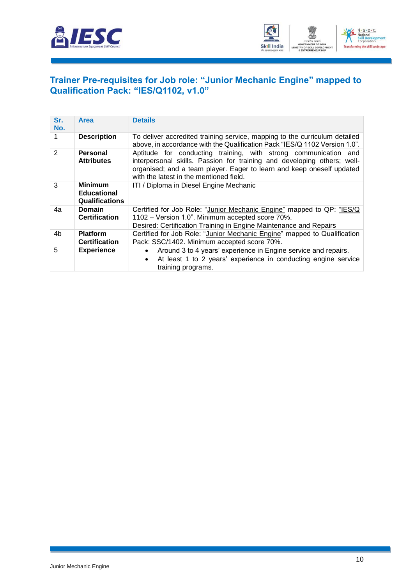



#### **Trainer Pre-requisites for Job role: "Junior Mechanic Engine" mapped to Qualification Pack: "IES/Q1102, v1.0"**

| Sr.<br>No. | Area                                                          | <b>Details</b>                                                                                                                                                                                                                                                 |
|------------|---------------------------------------------------------------|----------------------------------------------------------------------------------------------------------------------------------------------------------------------------------------------------------------------------------------------------------------|
| 1          | <b>Description</b>                                            | To deliver accredited training service, mapping to the curriculum detailed<br>above, in accordance with the Qualification Pack "IES/Q 1102 Version 1.0".                                                                                                       |
| 2          | Personal<br><b>Attributes</b>                                 | Aptitude for conducting training, with strong communication and<br>interpersonal skills. Passion for training and developing others; well-<br>organised; and a team player. Eager to learn and keep oneself updated<br>with the latest in the mentioned field. |
| 3          | <b>Minimum</b><br><b>Educational</b><br><b>Qualifications</b> | ITI / Diploma in Diesel Engine Mechanic                                                                                                                                                                                                                        |
| 4a         | <b>Domain</b><br><b>Certification</b>                         | Certified for Job Role: "Junior Mechanic Engine" mapped to QP: "IES/Q<br>1102 – Version 1.0". Minimum accepted score 70%.<br>Desired: Certification Training in Engine Maintenance and Repairs                                                                 |
| 4b         | <b>Platform</b><br><b>Certification</b>                       | Certified for Job Role: "Junior Mechanic Engine" mapped to Qualification<br>Pack: SSC/1402. Minimum accepted score 70%.                                                                                                                                        |
| 5          | <b>Experience</b>                                             | Around 3 to 4 years' experience in Engine service and repairs.<br>At least 1 to 2 years' experience in conducting engine service<br>training programs.                                                                                                         |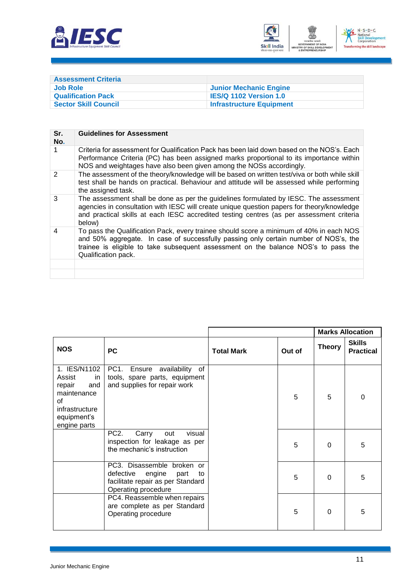



| <b>Assessment Criteria</b>  |                                 |
|-----------------------------|---------------------------------|
| Job Role                    | Junior Mechanic Engine          |
| <b>Qualification Pack</b>   | <b>IES/Q 1102 Version 1.0</b>   |
| <b>Sector Skill Council</b> | <b>Infrastructure Equipment</b> |

| Sr.<br>No.    | <b>Guidelines for Assessment</b>                                                                                                                                                                                                                                                             |
|---------------|----------------------------------------------------------------------------------------------------------------------------------------------------------------------------------------------------------------------------------------------------------------------------------------------|
|               | Criteria for assessment for Qualification Pack has been laid down based on the NOS's. Each<br>Performance Criteria (PC) has been assigned marks proportional to its importance within<br>NOS and weightages have also been given among the NOSs accordingly.                                 |
| $\mathcal{P}$ | The assessment of the theory/knowledge will be based on written test/viva or both while skill<br>test shall be hands on practical. Behaviour and attitude will be assessed while performing<br>the assigned task.                                                                            |
| 3             | The assessment shall be done as per the guidelines formulated by IESC. The assessment<br>agencies in consultation with IESC will create unique question papers for theory/knowledge<br>and practical skills at each IESC accredited testing centres (as per assessment criteria<br>below)    |
| 4             | To pass the Qualification Pack, every trainee should score a minimum of 40% in each NOS<br>and 50% aggregate. In case of successfully passing only certain number of NOS's, the<br>trainee is eligible to take subsequent assessment on the balance NOS's to pass the<br>Qualification pack. |
|               |                                                                                                                                                                                                                                                                                              |
|               |                                                                                                                                                                                                                                                                                              |

|                                                                                                                     |                                                                                                                          |                   |        |               | <b>Marks Allocation</b>           |
|---------------------------------------------------------------------------------------------------------------------|--------------------------------------------------------------------------------------------------------------------------|-------------------|--------|---------------|-----------------------------------|
| <b>NOS</b>                                                                                                          | <b>PC</b>                                                                                                                | <b>Total Mark</b> | Out of | <b>Theory</b> | <b>Skills</b><br><b>Practical</b> |
| 1. IES/N1102<br>Assist<br>in<br>repair<br>and<br>maintenance<br>of<br>infrastructure<br>equipment's<br>engine parts | PC1. Ensure availability of<br>tools, spare parts, equipment<br>and supplies for repair work                             |                   | 5      | 5             | $\Omega$                          |
|                                                                                                                     | PC <sub>2</sub> .<br>Carry<br>visual<br>out<br>inspection for leakage as per<br>the mechanic's instruction               |                   | 5      | $\Omega$      | 5                                 |
|                                                                                                                     | PC3. Disassemble broken or<br>defective engine<br>part<br>to<br>facilitate repair as per Standard<br>Operating procedure |                   | 5      | $\Omega$      | 5                                 |
|                                                                                                                     | PC4. Reassemble when repairs<br>are complete as per Standard<br>Operating procedure                                      |                   | 5      | $\Omega$      | 5                                 |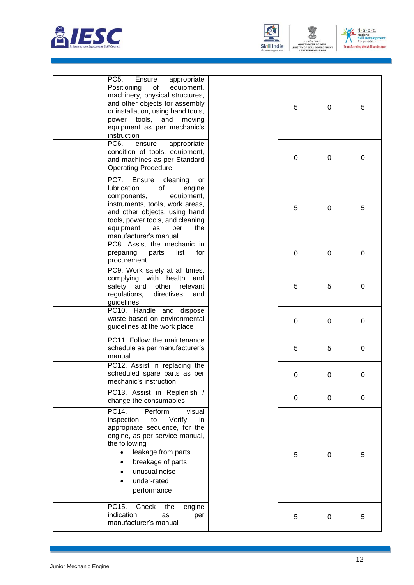



N - S - D - C<br>National<br>Skill Developn<br>Corporation  $\sqrt{\frac{6}{6}}$ ent **Transfi** ing the skill landscape

ENT

| PC <sub>5</sub> .<br>Ensure<br>appropriate<br>Positioning<br>of<br>equipment,<br>machinery, physical structures,<br>and other objects for assembly<br>or installation, using hand tools,<br>power tools, and<br>moving<br>equipment as per mechanic's<br>instruction | 5           | $\Omega$ | 5 |
|----------------------------------------------------------------------------------------------------------------------------------------------------------------------------------------------------------------------------------------------------------------------|-------------|----------|---|
| PC <sub>6</sub> .<br>ensure<br>appropriate<br>condition of tools, equipment,<br>and machines as per Standard<br><b>Operating Procedure</b>                                                                                                                           | $\mathbf 0$ | 0        | 0 |
| PC7.<br>Ensure<br>cleaning<br>or<br>lubrication<br>of<br>engine<br>components,<br>equipment,<br>instruments, tools, work areas,<br>and other objects, using hand<br>tools, power tools, and cleaning<br>equipment<br>as<br>per<br>the<br>manufacturer's manual       | 5           | 0        | 5 |
| PC8. Assist the mechanic in<br>preparing<br>list<br>for<br>parts<br>procurement                                                                                                                                                                                      | 0           | 0        | 0 |
| PC9. Work safely at all times,<br>complying with health and<br>safety and other<br>relevant<br>regulations,<br>directives<br>and<br>guidelines                                                                                                                       | 5           | 5        | 0 |
| PC10. Handle and dispose<br>waste based on environmental<br>guidelines at the work place                                                                                                                                                                             | 0           | 0        | 0 |
| PC11. Follow the maintenance<br>schedule as per manufacturer's<br>manual                                                                                                                                                                                             | 5           | 5        | 0 |
| PC12. Assist in replacing the<br>scheduled spare parts as per<br>mechanic's instruction                                                                                                                                                                              | 0           | 0        | 0 |
| PC13. Assist in Replenish /<br>change the consumables                                                                                                                                                                                                                | 0           | 0        | 0 |
| PC14.<br>Perform<br>visual<br>Verify<br>inspection<br>to<br>in.<br>appropriate sequence, for the<br>engine, as per service manual,<br>the following<br>leakage from parts<br>breakage of parts<br>unusual noise<br>under-rated<br>performance                        | 5           | $\Omega$ | 5 |
| PC15.<br>Check<br>the<br>engine<br>indication<br>as<br>per<br>manufacturer's manual                                                                                                                                                                                  | 5           | 0        | 5 |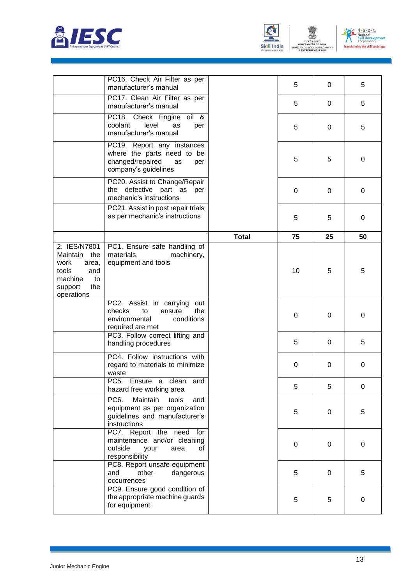



MINISTRY OF

ENT



|                                                                                                                   | PC16. Check Air Filter as per<br>manufacturer's manual                                                                                                                    |              | 5           | 0        | 5                |
|-------------------------------------------------------------------------------------------------------------------|---------------------------------------------------------------------------------------------------------------------------------------------------------------------------|--------------|-------------|----------|------------------|
|                                                                                                                   | PC17. Clean Air Filter as per<br>manufacturer's manual                                                                                                                    |              | 5           | 0        | 5                |
|                                                                                                                   | PC18. Check Engine oil &<br>level<br>coolant<br>as<br>per<br>manufacturer's manual                                                                                        |              | 5           | 0        | 5                |
|                                                                                                                   | PC19. Report any instances<br>where the parts need to be<br>changed/repaired<br>as<br>per<br>company's guidelines                                                         |              | 5           | 5        | 0                |
| mechanic's instructions                                                                                           | PC20. Assist to Change/Repair<br>the defective part as per                                                                                                                |              | $\mathbf 0$ | 0        | 0                |
|                                                                                                                   | PC21. Assist in post repair trials<br>as per mechanic's instructions                                                                                                      |              | 5           | 5        | 0                |
|                                                                                                                   |                                                                                                                                                                           | <b>Total</b> | 75          | 25       | 50               |
| 2. IES/N7801<br>the<br>Maintain<br>work<br>area,<br>tools<br>and<br>machine<br>to<br>the<br>support<br>operations | PC1. Ensure safe handling of<br>materials,<br>machinery,<br>equipment and tools                                                                                           |              | 10          | 5        | 5                |
|                                                                                                                   | PC2. Assist in carrying out<br>checks<br>to<br>ensure<br>the<br>environmental<br>conditions<br>required are met<br>PC3. Follow correct lifting and<br>handling procedures |              | 0           | $\Omega$ | 0                |
|                                                                                                                   |                                                                                                                                                                           |              | 5           | 0        | 5                |
|                                                                                                                   | PC4. Follow instructions with<br>regard to materials to minimize<br>waste                                                                                                 |              | 0           | $\Omega$ | 0                |
|                                                                                                                   | PC5. Ensure a clean and<br>hazard free working area                                                                                                                       |              | 5           | 5        | $\boldsymbol{0}$ |
|                                                                                                                   | PC <sub>6</sub> .<br>Maintain<br>tools<br>and<br>equipment as per organization<br>guidelines and manufacturer's<br>instructions                                           |              | 5           | 0        | 5                |
|                                                                                                                   | PC7. Report the need for<br>maintenance and/or cleaning<br>outside<br>your<br>area<br>0f<br>responsibility                                                                |              | $\pmb{0}$   | 0        | $\boldsymbol{0}$ |
|                                                                                                                   | PC8. Report unsafe equipment<br>and<br>other<br>dangerous<br>occurrences                                                                                                  |              | 5           | 0        | 5                |
|                                                                                                                   | PC9. Ensure good condition of<br>the appropriate machine guards<br>for equipment                                                                                          |              | 5           | 5        | 0                |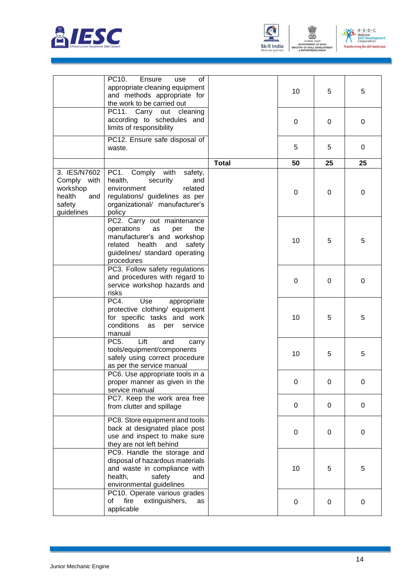



m

MENT OF

ENT

MINISTRY OF S



|                                                                                     | PC10.<br>Ensure<br>οf<br>use                                                                                                                                                      |              |    |          |    |
|-------------------------------------------------------------------------------------|-----------------------------------------------------------------------------------------------------------------------------------------------------------------------------------|--------------|----|----------|----|
|                                                                                     | appropriate cleaning equipment<br>and methods appropriate for<br>the work to be carried out                                                                                       |              | 10 | 5        | 5  |
|                                                                                     | PC11. Carry out cleaning<br>according to schedules and<br>limits of responsibility                                                                                                |              | 0  | 0        | 0  |
|                                                                                     | PC12. Ensure safe disposal of<br>waste.                                                                                                                                           |              | 5  | 5        | 0  |
|                                                                                     |                                                                                                                                                                                   | <b>Total</b> | 50 | 25       | 25 |
| 3. IES/N7602<br>Comply<br>with<br>workshop<br>health<br>and<br>safety<br>guidelines | PC <sub>1</sub> .<br>Comply with<br>safety,<br>health,<br>security<br>and<br>environment<br>related<br>regulations/ guidelines as per<br>organizational/ manufacturer's<br>policy |              | 0  | $\Omega$ | 0  |
|                                                                                     | PC2. Carry out maintenance<br>operations<br>as<br>per<br>the<br>manufacturer's and workshop<br>related health<br>and<br>safety<br>guidelines/ standard operating<br>procedures    |              | 10 | 5        | 5  |
|                                                                                     | PC3. Follow safety regulations<br>and procedures with regard to<br>service workshop hazards and<br>risks                                                                          |              | 0  | 0        | 0  |
|                                                                                     | PC4.<br>Use<br>appropriate<br>protective clothing/ equipment<br>for specific tasks and work<br>conditions<br>as<br>per<br>service<br>manual                                       |              | 10 | 5        | 5  |
|                                                                                     | Lift<br>PC <sub>5</sub> .<br>and<br>carry<br>tools/equipment/components<br>safely using correct procedure<br>as per the service manual                                            |              | 10 | 5        | 5  |
|                                                                                     | PC6. Use appropriate tools in a<br>proper manner as given in the<br>service manual                                                                                                |              | 0  | 0        | 0  |
|                                                                                     | PC7. Keep the work area free<br>from clutter and spillage                                                                                                                         |              | 0  | $\Omega$ | 0  |
|                                                                                     | PC8. Store equipment and tools<br>back at designated place post<br>use and inspect to make sure<br>they are not left behind                                                       |              | 0  | 0        | 0  |
|                                                                                     | PC9. Handle the storage and<br>disposal of hazardous materials<br>and waste in compliance with<br>health,<br>safety<br>and<br>environmental guidelines                            |              | 10 | 5        | 5  |
|                                                                                     | PC10. Operate various grades<br>fire<br>extinguishers,<br>οf<br>as<br>applicable                                                                                                  |              | 0  | 0        | 0  |